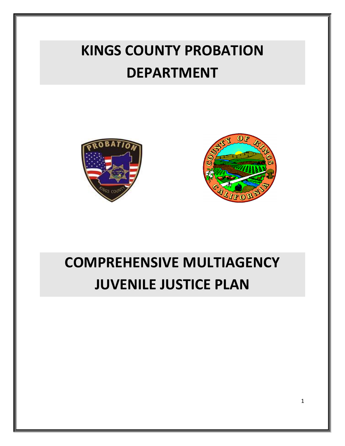# **KINGS COUNTY PROBATION DEPARTMENT**





# **COMPREHENSIVE MULTIAGENCY JUVENILE JUSTICE PLAN**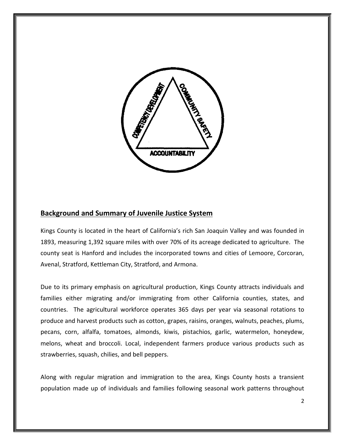

# **Background and Summary of Juvenile Justice System**

Kings County is located in the heart of California's rich San Joaquin Valley and was founded in 1893, measuring 1,392 square miles with over 70% of its acreage dedicated to agriculture. The county seat is Hanford and includes the incorporated towns and cities of Lemoore, Corcoran, Avenal, Stratford, Kettleman City, Stratford, and Armona.

Due to its primary emphasis on agricultural production, Kings County attracts individuals and families either migrating and/or immigrating from other California counties, states, and countries. The agricultural workforce operates 365 days per year via seasonal rotations to produce and harvest products such as cotton, grapes, raisins, oranges, walnuts, peaches, plums, pecans, corn, alfalfa, tomatoes, almonds, kiwis, pistachios, garlic, watermelon, honeydew, melons, wheat and broccoli. Local, independent farmers produce various products such as strawberries, squash, chilies, and bell peppers.

Along with regular migration and immigration to the area, Kings County hosts a transient population made up of individuals and families following seasonal work patterns throughout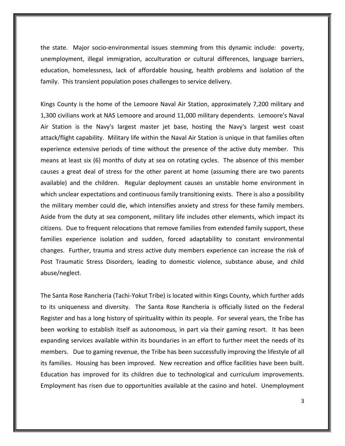the state. Major socio-environmental issues stemming from this dynamic include: poverty, unemployment, illegal immigration, acculturation or cultural differences, language barriers, education, homelessness, lack of affordable housing, health problems and isolation of the family. This transient population poses challenges to service delivery.

Kings County is the home of the Lemoore Naval Air Station, approximately 7,200 military and 1,300 civilians work at NAS Lemoore and around 11,000 military dependents. Lemoore's Naval Air Station is the Navy's largest master jet base, hosting the Navy's largest west coast attack/flight capability. Military life within the Naval Air Station is unique in that families often experience extensive periods of time without the presence of the active duty member. This means at least six (6) months of duty at sea on rotating cycles. The absence of this member causes a great deal of stress for the other parent at home (assuming there are two parents available) and the children. Regular deployment causes an unstable home environment in which unclear expectations and continuous family transitioning exists. There is also a possibility the military member could die, which intensifies anxiety and stress for these family members. Aside from the duty at sea component, military life includes other elements, which impact its citizens. Due to frequent relocations that remove families from extended family support, these families experience isolation and sudden, forced adaptability to constant environmental changes. Further, trauma and stress active duty members experience can increase the risk of Post Traumatic Stress Disorders, leading to domestic violence, substance abuse, and child abuse/neglect.

The Santa Rose Rancheria (Tachi-Yokut Tribe) is located within Kings County, which further adds to its uniqueness and diversity. The Santa Rose Rancheria is officially listed on the Federal Register and has a long history of spirituality within its people. For several years, the Tribe has been working to establish itself as autonomous, in part via their gaming resort. It has been expanding services available within its boundaries in an effort to further meet the needs of its members. Due to gaming revenue, the Tribe has been successfully improving the lifestyle of all its families. Housing has been improved. New recreation and office facilities have been built. Education has improved for its children due to technological and curriculum improvements. Employment has risen due to opportunities available at the casino and hotel. Unemployment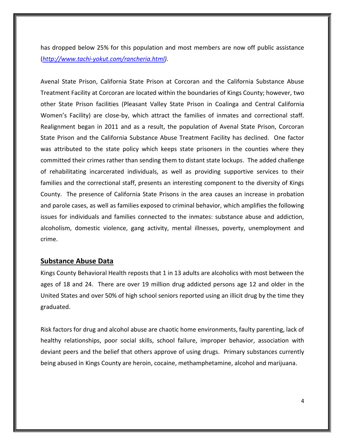has dropped below 25% for this population and most members are now off public assistance (*[http://www.tachi-yokut.com/rancheria.html\)](http://www.tachi-yokut.com/rancheria.html).* 

Avenal State Prison, California State Prison at Corcoran and the California Substance Abuse Treatment Facility at Corcoran are located within the boundaries of Kings County; however, two other State Prison facilities (Pleasant Valley State Prison in Coalinga and Central California Women's Facility) are close-by, which attract the families of inmates and correctional staff. Realignment began in 2011 and as a result, the population of Avenal State Prison, Corcoran State Prison and the California Substance Abuse Treatment Facility has declined. One factor was attributed to the state policy which keeps state prisoners in the counties where they committed their crimes rather than sending them to distant state lockups. The added challenge of rehabilitating incarcerated individuals, as well as providing supportive services to their families and the correctional staff, presents an interesting component to the diversity of Kings County. The presence of California State Prisons in the area causes an increase in probation and parole cases, as well as families exposed to criminal behavior, which amplifies the following issues for individuals and families connected to the inmates: substance abuse and addiction, alcoholism, domestic violence, gang activity, mental illnesses, poverty, unemployment and crime.

## **Substance Abuse Data**

Kings County Behavioral Health reposts that 1 in 13 adults are alcoholics with most between the ages of 18 and 24. There are over 19 million drug addicted persons age 12 and older in the United States and over 50% of high school seniors reported using an illicit drug by the time they graduated.

Risk factors for drug and alcohol abuse are chaotic home environments, faulty parenting, lack of healthy relationships, poor social skills, school failure, improper behavior, association with deviant peers and the belief that others approve of using drugs. Primary substances currently being abused in Kings County are heroin, cocaine, methamphetamine, alcohol and marijuana.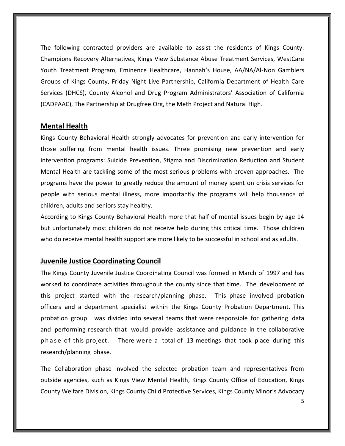The following contracted providers are available to assist the residents of Kings County: Champions Recovery Alternatives, Kings View Substance Abuse Treatment Services, WestCare Youth Treatment Program, Eminence Healthcare, Hannah's House, AA/NA/Al-Non Gamblers Groups of Kings County, Friday Night Live Partnership, California Department of Health Care Services (DHCS), County Alcohol and Drug Program Administrators' Association of California (CADPAAC), The Partnership at Drugfree.Org, the Meth Project and Natural High.

## **Mental Health**

Kings County Behavioral Health strongly advocates for prevention and early intervention for those suffering from mental health issues. Three promising new prevention and early intervention programs: Suicide Prevention, Stigma and Discrimination Reduction and Student Mental Health are tackling some of the most serious problems with proven approaches. The programs have the power to greatly reduce the amount of money spent on crisis services for people with serious mental illness, more importantly the programs will help thousands of children, adults and seniors stay healthy.

According to Kings County Behavioral Health more that half of mental issues begin by age 14 but unfortunately most children do not receive help during this critical time. Those children who do receive mental health support are more likely to be successful in school and as adults.

## **Juvenile Justice Coordinating Council**

The Kings County Juvenile Justice Coordinating Council was formed in March of 1997 and has worked to coordinate activities throughout the county since that time. The development of this project started with the research/planning phase. This phase involved probation officers and a department specialist within the Kings County Probation Department. This probation group was divided into several teams that were responsible for gathering data and performing research that would provide assistance and guidance in the collaborative phase of this project. There were a total of 13 meetings that took place during this research/planning phase.

The Collaboration phase involved the selected probation team and representatives from outside agencies, such as Kings View Mental Health, Kings County Office of Education, Kings County Welfare Division, Kings County Child Protective Services, Kings County Minor's Advocacy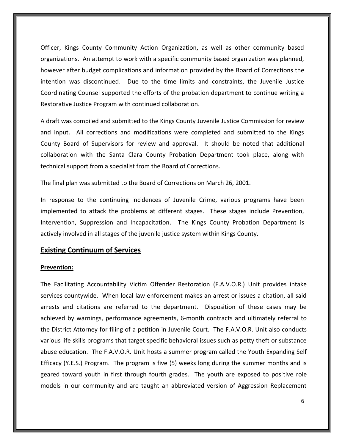Officer, Kings County Community Action Organization, as well as other community based organizations. An attempt to work with a specific community based organization was planned, however after budget complications and information provided by the Board of Corrections the intention was discontinued. Due to the time limits and constraints, the Juvenile Justice Coordinating Counsel supported the efforts of the probation department to continue writing a Restorative Justice Program with continued collaboration.

A draft was compiled and submitted to the Kings County Juvenile Justice Commission for review and input. All corrections and modifications were completed and submitted to the Kings County Board of Supervisors for review and approval. It should be noted that additional collaboration with the Santa Clara County Probation Department took place, along with technical support from a specialist from the Board of Corrections.

The final plan was submitted to the Board of Corrections on March 26, 2001.

In response to the continuing incidences of Juvenile Crime, various programs have been implemented to attack the problems at different stages. These stages include Prevention, Intervention, Suppression and Incapacitation. The Kings County Probation Department is actively involved in all stages of the juvenile justice system within Kings County.

# **Existing Continuum of Services**

## **Prevention:**

The Facilitating Accountability Victim Offender Restoration (F.A.V.O.R.) Unit provides intake services countywide. When local law enforcement makes an arrest or issues a citation, all said arrests and citations are referred to the department. Disposition of these cases may be achieved by warnings, performance agreements, 6-month contracts and ultimately referral to the District Attorney for filing of a petition in Juvenile Court. The F.A.V.O.R. Unit also conducts various life skills programs that target specific behavioral issues such as petty theft or substance abuse education. The F.A.V.O.R. Unit hosts a summer program called the Youth Expanding Self Efficacy (Y.E.S.) Program. The program is five (5) weeks long during the summer months and is geared toward youth in first through fourth grades. The youth are exposed to positive role models in our community and are taught an abbreviated version of Aggression Replacement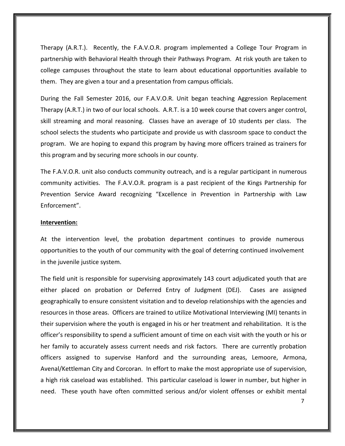Therapy (A.R.T.). Recently, the F.A.V.O.R. program implemented a College Tour Program in partnership with Behavioral Health through their Pathways Program. At risk youth are taken to college campuses throughout the state to learn about educational opportunities available to them. They are given a tour and a presentation from campus officials.

During the Fall Semester 2016, our F.A.V.O.R. Unit began teaching Aggression Replacement Therapy (A.R.T.) in two of our local schools. A.R.T. is a 10 week course that covers anger control, skill streaming and moral reasoning. Classes have an average of 10 students per class. The school selects the students who participate and provide us with classroom space to conduct the program. We are hoping to expand this program by having more officers trained as trainers for this program and by securing more schools in our county.

The F.A.V.O.R. unit also conducts community outreach, and is a regular participant in numerous community activities. The F.A.V.O.R. program is a past recipient of the Kings Partnership for Prevention Service Award recognizing "Excellence in Prevention in Partnership with Law Enforcement".

### **Intervention:**

At the intervention level, the probation department continues to provide numerous opportunities to the youth of our community with the goal of deterring continued involvement in the juvenile justice system.

The field unit is responsible for supervising approximately 143 court adjudicated youth that are either placed on probation or Deferred Entry of Judgment (DEJ). Cases are assigned geographically to ensure consistent visitation and to develop relationships with the agencies and resources in those areas. Officers are trained to utilize Motivational Interviewing (MI) tenants in their supervision where the youth is engaged in his or her treatment and rehabilitation. It is the officer's responsibility to spend a sufficient amount of time on each visit with the youth or his or her family to accurately assess current needs and risk factors. There are currently probation officers assigned to supervise Hanford and the surrounding areas, Lemoore, Armona, Avenal/Kettleman City and Corcoran. In effort to make the most appropriate use of supervision, a high risk caseload was established. This particular caseload is lower in number, but higher in need. These youth have often committed serious and/or violent offenses or exhibit mental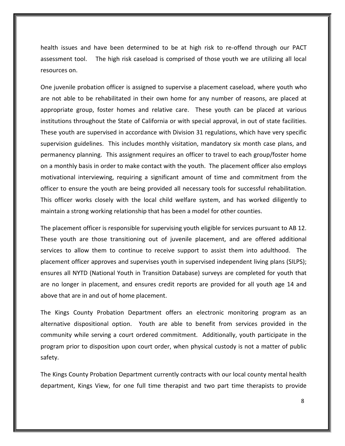health issues and have been determined to be at high risk to re-offend through our PACT assessment tool. The high risk caseload is comprised of those youth we are utilizing all local resources on.

One juvenile probation officer is assigned to supervise a placement caseload, where youth who are not able to be rehabilitated in their own home for any number of reasons, are placed at appropriate group, foster homes and relative care. These youth can be placed at various institutions throughout the State of California or with special approval, in out of state facilities. These youth are supervised in accordance with Division 31 regulations, which have very specific supervision guidelines. This includes monthly visitation, mandatory six month case plans, and permanency planning. This assignment requires an officer to travel to each group/foster home on a monthly basis in order to make contact with the youth. The placement officer also employs motivational interviewing, requiring a significant amount of time and commitment from the officer to ensure the youth are being provided all necessary tools for successful rehabilitation. This officer works closely with the local child welfare system, and has worked diligently to maintain a strong working relationship that has been a model for other counties.

The placement officer is responsible for supervising youth eligible for services pursuant to AB 12. These youth are those transitioning out of juvenile placement, and are offered additional services to allow them to continue to receive support to assist them into adulthood. The placement officer approves and supervises youth in supervised independent living plans (SILPS); ensures all NYTD (National Youth in Transition Database) surveys are completed for youth that are no longer in placement, and ensures credit reports are provided for all youth age 14 and above that are in and out of home placement.

The Kings County Probation Department offers an electronic monitoring program as an alternative dispositional option. Youth are able to benefit from services provided in the community while serving a court ordered commitment. Additionally, youth participate in the program prior to disposition upon court order, when physical custody is not a matter of public safety.

The Kings County Probation Department currently contracts with our local county mental health department, Kings View, for one full time therapist and two part time therapists to provide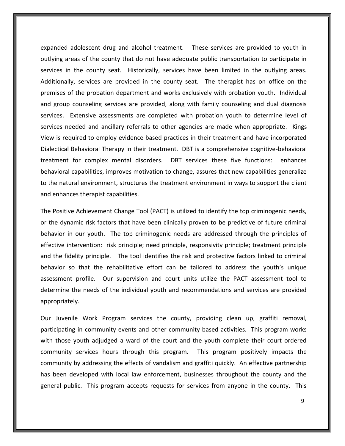expanded adolescent drug and alcohol treatment. These services are provided to youth in outlying areas of the county that do not have adequate public transportation to participate in services in the county seat. Historically, services have been limited in the outlying areas. Additionally, services are provided in the county seat. The therapist has on office on the premises of the probation department and works exclusively with probation youth. Individual and group counseling services are provided, along with family counseling and dual diagnosis services. Extensive assessments are completed with probation youth to determine level of services needed and ancillary referrals to other agencies are made when appropriate. Kings View is required to employ evidence based practices in their treatment and have incorporated Dialectical Behavioral Therapy in their treatment. DBT is a comprehensive cognitive-behavioral treatment for complex mental disorders. DBT services these five functions: enhances behavioral capabilities, improves motivation to change, assures that new capabilities generalize to the natural environment, structures the treatment environment in ways to support the client and enhances therapist capabilities.

The Positive Achievement Change Tool (PACT) is utilized to identify the top criminogenic needs, or the dynamic risk factors that have been clinically proven to be predictive of future criminal behavior in our youth. The top criminogenic needs are addressed through the principles of effective intervention: risk principle; need principle, responsivity principle; treatment principle and the fidelity principle. The tool identifies the risk and protective factors linked to criminal behavior so that the rehabilitative effort can be tailored to address the youth's unique assessment profile. Our supervision and court units utilize the PACT assessment tool to determine the needs of the individual youth and recommendations and services are provided appropriately.

Our Juvenile Work Program services the county, providing clean up, graffiti removal, participating in community events and other community based activities. This program works with those youth adjudged a ward of the court and the youth complete their court ordered community services hours through this program. This program positively impacts the community by addressing the effects of vandalism and graffiti quickly. An effective partnership has been developed with local law enforcement, businesses throughout the county and the general public. This program accepts requests for services from anyone in the county. This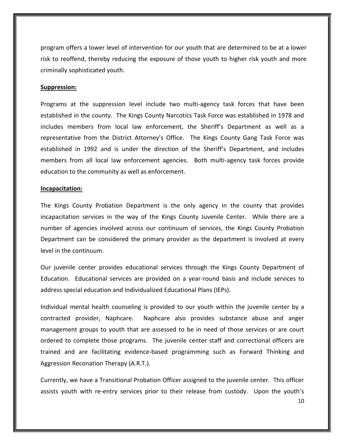program offers a lower level of intervention for our youth that are determined to be at a lower risk to reoffend, thereby reducing the exposure of those youth to higher risk youth and more criminally sophisticated youth.

#### **Suppression:**

Programs at the suppression level include two multi-agency task forces that have been established in the county. The Kings County Narcotics Task Force was established in 1978 and includes members from local law enforcement, the Sheriff's Department as well as a representative from the District Attorney's Office. The Kings County Gang Task Force was established in 1992 and is under the direction of the Sheriff's Department, and includes members from all local law enforcement agencies. Both multi-agency task forces provide education to the community as well as enforcement.

### **Incapacitation:**

The Kings County Probation Department is the only agency in the county that provides incapacitation services in the way of the Kings County Juvenile Center. While there are a number of agencies involved across our continuum of services, the Kings County Probation Department can be considered the primary provider as the department is involved at every level in the continuum.

Our juvenile center provides educational services through the Kings County Department of Education. Educational services are provided on a year-round basis and include services to address special education and Individualized Educational Plans (IEPs).

Individual mental health counseling is provided to our youth within the juvenile center by a contracted provider, Naphcare. Naphcare also provides substance abuse and anger management groups to youth that are assessed to be in need of those services or are court ordered to complete those programs. The juvenile center staff and correctional officers are trained and are facilitating evidence-based programming such as Forward Thinking and Aggression Reconation Therapy (A.R.T.).

Currently, we have a Transitional Probation Officer assigned to the juvenile center. This officer assists youth with re-entry services prior to their release from custody. Upon the youth's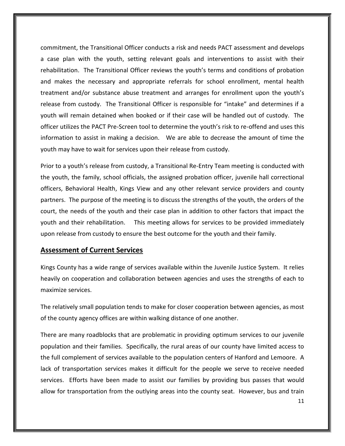commitment, the Transitional Officer conducts a risk and needs PACT assessment and develops a case plan with the youth, setting relevant goals and interventions to assist with their rehabilitation. The Transitional Officer reviews the youth's terms and conditions of probation and makes the necessary and appropriate referrals for school enrollment, mental health treatment and/or substance abuse treatment and arranges for enrollment upon the youth's release from custody. The Transitional Officer is responsible for "intake" and determines if a youth will remain detained when booked or if their case will be handled out of custody. The officer utilizes the PACT Pre-Screen tool to determine the youth's risk to re-offend and uses this information to assist in making a decision. We are able to decrease the amount of time the youth may have to wait for services upon their release from custody.

Prior to a youth's release from custody, a Transitional Re-Entry Team meeting is conducted with the youth, the family, school officials, the assigned probation officer, juvenile hall correctional officers, Behavioral Health, Kings View and any other relevant service providers and county partners. The purpose of the meeting is to discuss the strengths of the youth, the orders of the court, the needs of the youth and their case plan in addition to other factors that impact the youth and their rehabilitation. This meeting allows for services to be provided immediately upon release from custody to ensure the best outcome for the youth and their family.

## **Assessment of Current Services**

Kings County has a wide range of services available within the Juvenile Justice System. It relies heavily on cooperation and collaboration between agencies and uses the strengths of each to maximize services.

The relatively small population tends to make for closer cooperation between agencies, as most of the county agency offices are within walking distance of one another.

There are many roadblocks that are problematic in providing optimum services to our juvenile population and their families. Specifically, the rural areas of our county have limited access to the full complement of services available to the population centers of Hanford and Lemoore. A lack of transportation services makes it difficult for the people we serve to receive needed services. Efforts have been made to assist our families by providing bus passes that would allow for transportation from the outlying areas into the county seat. However, bus and train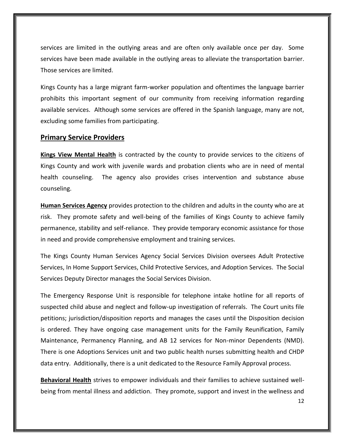services are limited in the outlying areas and are often only available once per day. Some services have been made available in the outlying areas to alleviate the transportation barrier. Those services are limited.

Kings County has a large migrant farm-worker population and oftentimes the language barrier prohibits this important segment of our community from receiving information regarding available services. Although some services are offered in the Spanish language, many are not, excluding some families from participating.

## **Primary Service Providers**

**Kings View Mental Health** is contracted by the county to provide services to the citizens of Kings County and work with juvenile wards and probation clients who are in need of mental health counseling. The agency also provides crises intervention and substance abuse counseling.

**Human Services Agency** provides protection to the children and adults in the county who are at risk. They promote safety and well-being of the families of Kings County to achieve family permanence, stability and self-reliance. They provide temporary economic assistance for those in need and provide comprehensive employment and training services.

The Kings County Human Services Agency Social Services Division oversees Adult Protective Services, In Home Support Services, Child Protective Services, and Adoption Services. The Social Services Deputy Director manages the Social Services Division.

The Emergency Response Unit is responsible for telephone intake hotline for all reports of suspected child abuse and neglect and follow-up investigation of referrals. The Court units file petitions; jurisdiction/disposition reports and manages the cases until the Disposition decision is ordered. They have ongoing case management units for the Family Reunification, Family Maintenance, Permanency Planning, and AB 12 services for Non-minor Dependents (NMD). There is one Adoptions Services unit and two public health nurses submitting health and CHDP data entry. Additionally, there is a unit dedicated to the Resource Family Approval process.

**Behavioral Health** strives to empower individuals and their families to achieve sustained wellbeing from mental illness and addiction. They promote, support and invest in the wellness and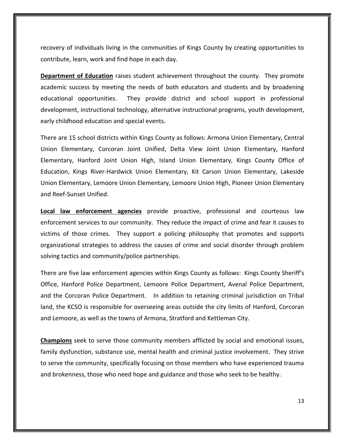recovery of individuals living in the communities of Kings County by creating opportunities to contribute, learn, work and find hope in each day.

**Department of Education** raises student achievement throughout the county. They promote academic success by meeting the needs of both educators and students and by broadening educational opportunities. They provide district and school support in professional development, instructional technology, alternative instructional programs, youth development, early childhood education and special events.

There are 15 school districts within Kings County as follows: Armona Union Elementary, Central Union Elementary, Corcoran Joint Unified, Delta View Joint Union Elementary, Hanford Elementary, Hanford Joint Union High, Island Union Elementary, Kings County Office of Education, Kings River-Hardwick Union Elementary, Kit Carson Union Elementary, Lakeside Union Elementary, Lemoore Union Elementary, Lemoore Union High, Pioneer Union Elementary and Reef-Sunset Unified.

**Local law enforcement agencies** provide proactive, professional and courteous law enforcement services to our community. They reduce the impact of crime and fear it causes to victims of those crimes. They support a policing philosophy that promotes and supports organizational strategies to address the causes of crime and social disorder through problem solving tactics and community/police partnerships.

There are five law enforcement agencies within Kings County as follows: Kings County Sheriff's Office, Hanford Police Department, Lemoore Police Department, Avenal Police Department, and the Corcoran Police Department. In addition to retaining criminal jurisdiction on Tribal land, the KCSO is responsible for overseeing areas outside the city limits of Hanford, Corcoran and Lemoore, as well as the towns of Armona, Stratford and Kettleman City.

**Champions** seek to serve those community members afflicted by social and emotional issues, family dysfunction, substance use, mental health and criminal justice involvement. They strive to serve the community, specifically focusing on those members who have experienced trauma and brokenness, those who need hope and guidance and those who seek to be healthy.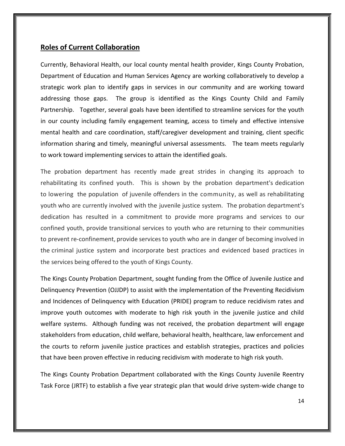## **Roles of Current Collaboration**

Currently, Behavioral Health, our local county mental health provider, Kings County Probation, Department of Education and Human Services Agency are working collaboratively to develop a strategic work plan to identify gaps in services in our community and are working toward addressing those gaps. The group is identified as the Kings County Child and Family Partnership. Together, several goals have been identified to streamline services for the youth in our county including family engagement teaming, access to timely and effective intensive mental health and care coordination, staff/caregiver development and training, client specific information sharing and timely, meaningful universal assessments. The team meets regularly to work toward implementing services to attain the identified goals.

The probation department has recently made great strides in changing its approach to rehabilitating its confined youth. This is shown by the probation department's dedication to lowering the population of juvenile offenders in the community, as well as rehabilitating youth who are currently involved with the juvenile justice system. The probation department's dedication has resulted in a commitment to provide more programs and services to our confined youth, provide transitional services to youth who are returning to their communities to prevent re-confinement, provide services to youth who are in danger of becoming involved in the criminal justice system and incorporate best practices and evidenced based practices in the services being offered to the youth of Kings County.

The Kings County Probation Department, sought funding from the Office of Juvenile Justice and Delinquency Prevention (OJJDP) to assist with the implementation of the Preventing Recidivism and Incidences of Delinquency with Education (PRIDE) program to reduce recidivism rates and improve youth outcomes with moderate to high risk youth in the juvenile justice and child welfare systems. Although funding was not received, the probation department will engage stakeholders from education, child welfare, behavioral health, healthcare, law enforcement and the courts to reform juvenile justice practices and establish strategies, practices and policies that have been proven effective in reducing recidivism with moderate to high risk youth.

The Kings County Probation Department collaborated with the Kings County Juvenile Reentry Task Force (JRTF) to establish a five year strategic plan that would drive system-wide change to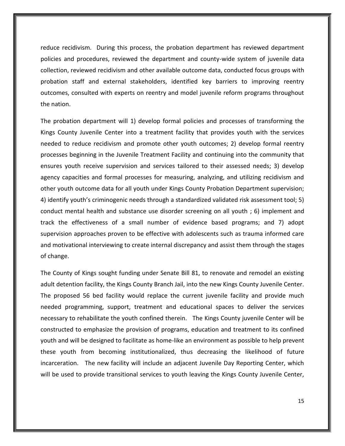reduce recidivism. During this process, the probation department has reviewed department policies and procedures, reviewed the department and county-wide system of juvenile data collection, reviewed recidivism and other available outcome data, conducted focus groups with probation staff and external stakeholders, identified key barriers to improving reentry outcomes, consulted with experts on reentry and model juvenile reform programs throughout the nation.

The probation department will 1) develop formal policies and processes of transforming the Kings County Juvenile Center into a treatment facility that provides youth with the services needed to reduce recidivism and promote other youth outcomes; 2) develop formal reentry processes beginning in the Juvenile Treatment Facility and continuing into the community that ensures youth receive supervision and services tailored to their assessed needs; 3) develop agency capacities and formal processes for measuring, analyzing, and utilizing recidivism and other youth outcome data for all youth under Kings County Probation Department supervision; 4) identify youth's criminogenic needs through a standardized validated risk assessment tool; 5) conduct mental health and substance use disorder screening on all youth ; 6) implement and track the effectiveness of a small number of evidence based programs; and 7) adopt supervision approaches proven to be effective with adolescents such as trauma informed care and motivational interviewing to create internal discrepancy and assist them through the stages of change.

The County of Kings sought funding under Senate Bill 81, to renovate and remodel an existing adult detention facility, the Kings County Branch Jail, into the new Kings County Juvenile Center. The proposed 56 bed facility would replace the current juvenile facility and provide much needed programming, support, treatment and educational spaces to deliver the services necessary to rehabilitate the youth confined therein. The Kings County juvenile Center will be constructed to emphasize the provision of programs, education and treatment to its confined youth and will be designed to facilitate as home-like an environment as possible to help prevent these youth from becoming institutionalized, thus decreasing the likelihood of future incarceration. The new facility will include an adjacent Juvenile Day Reporting Center, which will be used to provide transitional services to youth leaving the Kings County Juvenile Center,